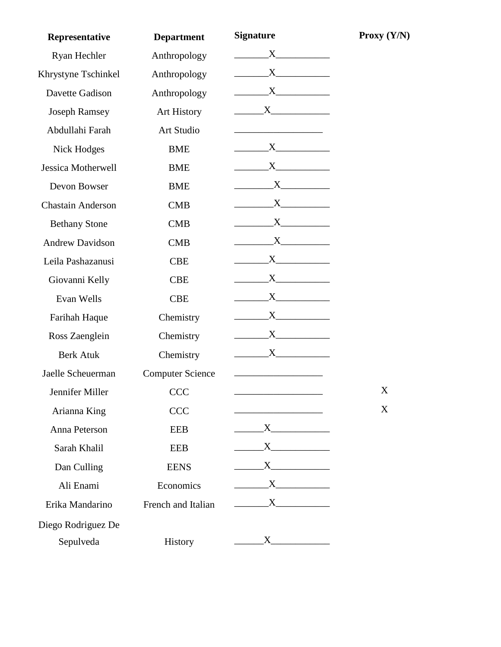| Representative           | <b>Department</b>       | <b>Signature</b>                                                     | Proxy $(Y/N)$ |
|--------------------------|-------------------------|----------------------------------------------------------------------|---------------|
| Ryan Hechler             | Anthropology            | X                                                                    |               |
| Khrystyne Tschinkel      | Anthropology            | $X \sim$                                                             |               |
| Davette Gadison          | Anthropology            | $X$ and $X$                                                          |               |
| <b>Joseph Ramsey</b>     | <b>Art History</b>      | X                                                                    |               |
| Abdullahi Farah          | Art Studio              |                                                                      |               |
| Nick Hodges              | <b>BME</b>              | $X \sim$                                                             |               |
| Jessica Motherwell       | <b>BME</b>              |                                                                      |               |
| Devon Bowser             | <b>BME</b>              |                                                                      |               |
| <b>Chastain Anderson</b> | <b>CMB</b>              |                                                                      |               |
| <b>Bethany Stone</b>     | <b>CMB</b>              | $X$ and $X$                                                          |               |
| <b>Andrew Davidson</b>   | <b>CMB</b>              | $X \sim$                                                             |               |
| Leila Pashazanusi        | <b>CBE</b>              | X                                                                    |               |
| Giovanni Kelly           | <b>CBE</b>              | $X \sim$                                                             |               |
| Evan Wells               | <b>CBE</b>              | $X$ and $X$                                                          |               |
| Farihah Haque            | Chemistry               | $\rm X_{\scriptscriptstyle{-}}$                                      |               |
| Ross Zaenglein           | Chemistry               | $X$ and $X$                                                          |               |
| <b>Berk Atuk</b>         | Chemistry               | $X$ <sub>1</sub>                                                     |               |
| Jaelle Scheuerman        | <b>Computer Science</b> |                                                                      |               |
| Jennifer Miller          | <b>CCC</b>              |                                                                      | X             |
| Arianna King             | <b>CCC</b>              |                                                                      | X             |
| Anna Peterson            | <b>EEB</b>              |                                                                      |               |
| Sarah Khalil             | <b>EEB</b>              | $\overline{\mathbf{X}}$                                              |               |
| Dan Culling              | <b>EENS</b>             |                                                                      |               |
| Ali Enami                | Economics               | $\overline{\text{X}}$                                                |               |
| Erika Mandarino          | French and Italian      | $\begin{array}{c} \begin{array}{c} \text{X} \end{array} \end{array}$ |               |
| Diego Rodriguez De       |                         |                                                                      |               |
| Sepulveda                | History                 |                                                                      |               |